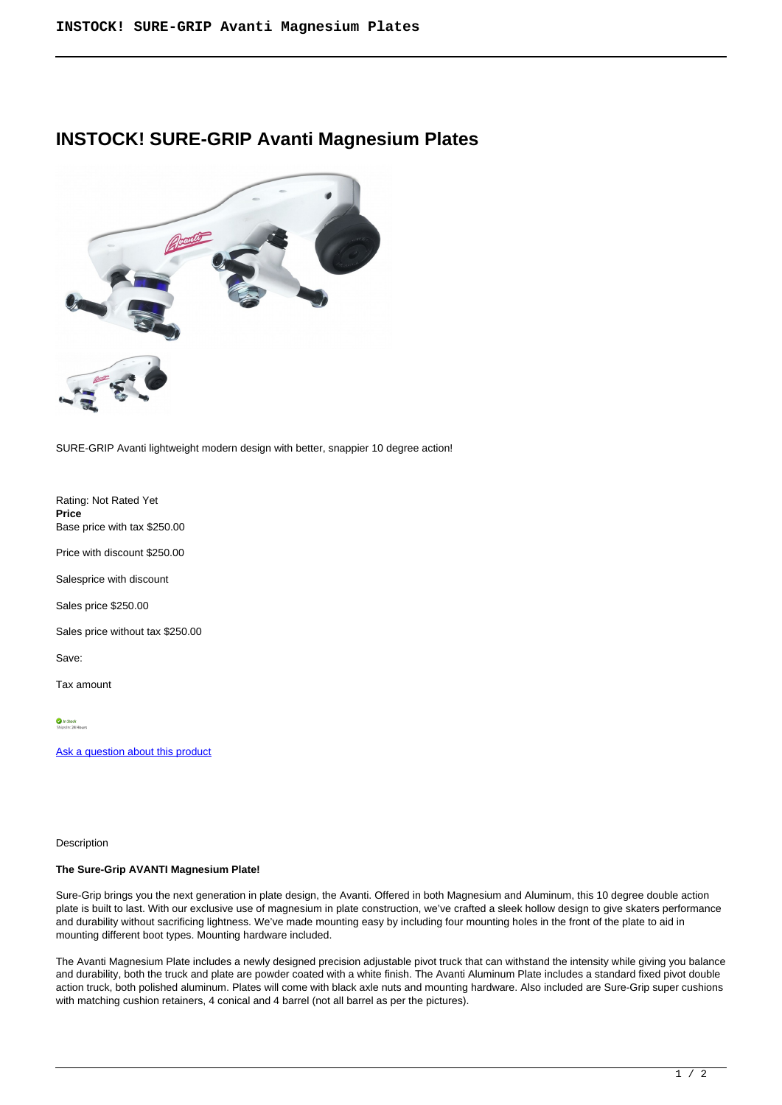## **INSTOCK! SURE-GRIP Avanti Magnesium Plates**



SURE-GRIP Avanti lightweight modern design with better, snappier 10 degree action!

Rating: Not Rated Yet **Price**  Base price with tax \$250.00

Price with discount \$250.00

Salesprice with discount

Sales price \$250.00

Sales price without tax \$250.00

Save:

Tax amount

In Stock<br>Shins In: 24 Hours

[Ask a question about this product](https://rollerskatin.ca/index.php?option=com_virtuemart&view=productdetails&task=askquestion&virtuemart_product_id=1164&virtuemart_category_id=33&tmpl=component)

Description

## **The Sure-Grip AVANTI Magnesium Plate!**

Sure-Grip brings you the next generation in plate design, the Avanti. Offered in both Magnesium and Aluminum, this 10 degree double action plate is built to last. With our exclusive use of magnesium in plate construction, we've crafted a sleek hollow design to give skaters performance and durability without sacrificing lightness. We've made mounting easy by including four mounting holes in the front of the plate to aid in mounting different boot types. Mounting hardware included.

The Avanti Magnesium Plate includes a newly designed precision adjustable pivot truck that can withstand the intensity while giving you balance and durability, both the truck and plate are powder coated with a white finish. The Avanti Aluminum Plate includes a standard fixed pivot double action truck, both polished aluminum. Plates will come with black axle nuts and mounting hardware. Also included are Sure-Grip super cushions with matching cushion retainers, 4 conical and 4 barrel (not all barrel as per the pictures).